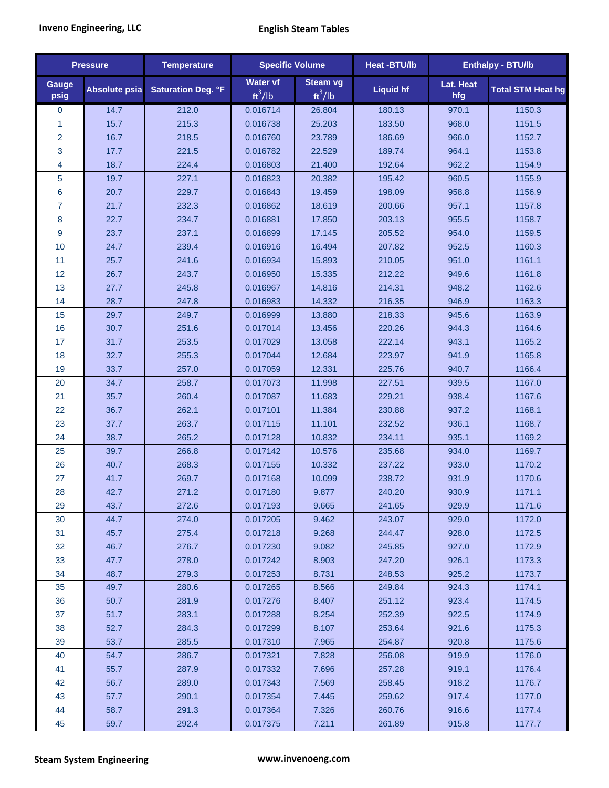| <b>Pressure</b> |                      | <b>Temperature</b>        | <b>Specific Volume</b>       |                              | Heat -BTU/lb     | <b>Enthalpy - BTU/lb</b> |                          |
|-----------------|----------------------|---------------------------|------------------------------|------------------------------|------------------|--------------------------|--------------------------|
| Gauge<br>psig   | <b>Absolute psia</b> | <b>Saturation Deg. °F</b> | <b>Water vf</b><br>$ft^3/lb$ | <b>Steam vg</b><br>$ft^3/lb$ | <b>Liquid hf</b> | Lat. Heat<br>hfg         | <b>Total STM Heat hg</b> |
| $\mathbf 0$     | 14.7                 | 212.0                     | 0.016714                     | 26.804                       | 180.13           | 970.1                    | 1150.3                   |
| $\mathbf{1}$    | 15.7                 | 215.3                     | 0.016738                     | 25.203                       | 183.50           | 968.0                    | 1151.5                   |
| $\overline{2}$  | 16.7                 | 218.5                     | 0.016760                     | 23.789                       | 186.69           | 966.0                    | 1152.7                   |
| 3               | 17.7                 | 221.5                     | 0.016782                     | 22.529                       | 189.74           | 964.1                    | 1153.8                   |
| 4               | 18.7                 | 224.4                     | 0.016803                     | 21.400                       | 192.64           | 962.2                    | 1154.9                   |
| 5               | 19.7                 | 227.1                     | 0.016823                     | 20.382                       | 195.42           | 960.5                    | 1155.9                   |
| 6               | 20.7                 | 229.7                     | 0.016843                     | 19.459                       | 198.09           | 958.8                    | 1156.9                   |
| $\overline{7}$  | 21.7                 | 232.3                     | 0.016862                     | 18.619                       | 200.66           | 957.1                    | 1157.8                   |
| 8               | 22.7                 | 234.7                     | 0.016881                     | 17.850                       | 203.13           | 955.5                    | 1158.7                   |
| 9               | 23.7                 | 237.1                     | 0.016899                     | 17.145                       | 205.52           | 954.0                    | 1159.5                   |
| 10              | 24.7                 | 239.4                     | 0.016916                     | 16.494                       | 207.82           | 952.5                    | 1160.3                   |
| 11              | 25.7                 | 241.6                     | 0.016934                     | 15.893                       | 210.05           | 951.0                    | 1161.1                   |
| 12              | 26.7                 | 243.7                     | 0.016950                     | 15.335                       | 212.22           | 949.6                    | 1161.8                   |
| 13              | 27.7                 | 245.8                     | 0.016967                     | 14.816                       | 214.31           | 948.2                    | 1162.6                   |
| 14              | 28.7                 | 247.8                     | 0.016983                     | 14.332                       | 216.35           | 946.9                    | 1163.3                   |
| 15              | 29.7                 | 249.7                     | 0.016999                     | 13.880                       | 218.33           | 945.6                    | 1163.9                   |
| 16              | 30.7                 | 251.6                     | 0.017014                     | 13.456                       | 220.26           | 944.3                    | 1164.6                   |
| 17              | 31.7                 | 253.5                     | 0.017029                     | 13.058                       | 222.14           | 943.1                    | 1165.2                   |
| 18              | 32.7                 | 255.3                     | 0.017044                     | 12.684                       | 223.97           | 941.9                    | 1165.8                   |
| 19              | 33.7                 | 257.0                     | 0.017059                     | 12.331                       | 225.76           | 940.7                    | 1166.4                   |
| 20              | 34.7                 | 258.7                     | 0.017073                     | 11.998                       | 227.51           | 939.5                    | 1167.0                   |
| 21              | 35.7                 | 260.4                     | 0.017087                     | 11.683                       | 229.21           | 938.4                    | 1167.6                   |
| 22              | 36.7                 | 262.1                     | 0.017101                     | 11.384                       | 230.88           | 937.2                    | 1168.1                   |
| 23              | 37.7                 | 263.7                     | 0.017115                     | 11.101                       | 232.52           | 936.1                    | 1168.7                   |
| 24              | 38.7                 | 265.2                     | 0.017128                     | 10.832                       | 234.11           | 935.1                    | 1169.2                   |
| 25              | 39.7                 | 266.8                     | 0.017142                     | 10.576                       | 235.68           | 934.0                    | 1169.7                   |
| 26              | 40.7                 | 268.3                     | 0.017155                     | 10.332                       | 237.22           | 933.0                    | 1170.2                   |
| 27              | 41.7                 | 269.7                     | 0.017168                     | 10.099                       | 238.72           | 931.9                    | 1170.6                   |
| 28              | 42.7                 | 271.2                     | 0.017180                     | 9.877                        | 240.20           | 930.9                    | 1171.1                   |
| 29              | 43.7                 | 272.6                     | 0.017193                     | 9.665                        | 241.65           | 929.9                    | 1171.6                   |
| 30              | 44.7                 | 274.0                     | 0.017205                     | 9.462                        | 243.07           | 929.0                    | 1172.0                   |
| 31              | 45.7                 | 275.4                     | 0.017218                     | 9.268                        | 244.47           | 928.0                    | 1172.5                   |
| 32              | 46.7                 | 276.7                     | 0.017230                     | 9.082                        | 245.85           | 927.0                    | 1172.9                   |
| 33              | 47.7                 | 278.0                     | 0.017242                     | 8.903                        | 247.20           | 926.1                    | 1173.3                   |
| 34              | 48.7                 | 279.3                     | 0.017253                     | 8.731                        | 248.53           | 925.2                    | 1173.7                   |
| 35              | 49.7                 | 280.6                     | 0.017265                     | 8.566                        | 249.84           | 924.3                    | 1174.1                   |
| 36              | 50.7                 | 281.9                     | 0.017276                     | 8.407                        | 251.12           | 923.4                    | 1174.5                   |
| 37              | 51.7                 | 283.1                     | 0.017288                     | 8.254                        | 252.39           | 922.5                    | 1174.9                   |
| 38              | 52.7                 | 284.3                     | 0.017299                     | 8.107                        | 253.64           | 921.6                    | 1175.3                   |
| 39              | 53.7                 | 285.5                     | 0.017310                     | 7.965                        | 254.87           | 920.8                    | 1175.6                   |
| 40              | 54.7                 | 286.7                     | 0.017321                     | 7.828                        | 256.08           | 919.9                    | 1176.0                   |
| 41              | 55.7                 | 287.9                     | 0.017332                     | 7.696                        | 257.28           | 919.1                    | 1176.4                   |
| 42              | 56.7                 | 289.0                     | 0.017343                     | 7.569                        | 258.45           | 918.2                    | 1176.7                   |
| 43              | 57.7                 | 290.1                     | 0.017354                     | 7.445                        | 259.62           | 917.4                    | 1177.0                   |
| 44              | 58.7                 | 291.3                     | 0.017364                     | 7.326                        | 260.76           | 916.6                    | 1177.4                   |
| 45              | 59.7                 | 292.4                     | 0.017375                     | 7.211                        | 261.89           | 915.8                    | 1177.7                   |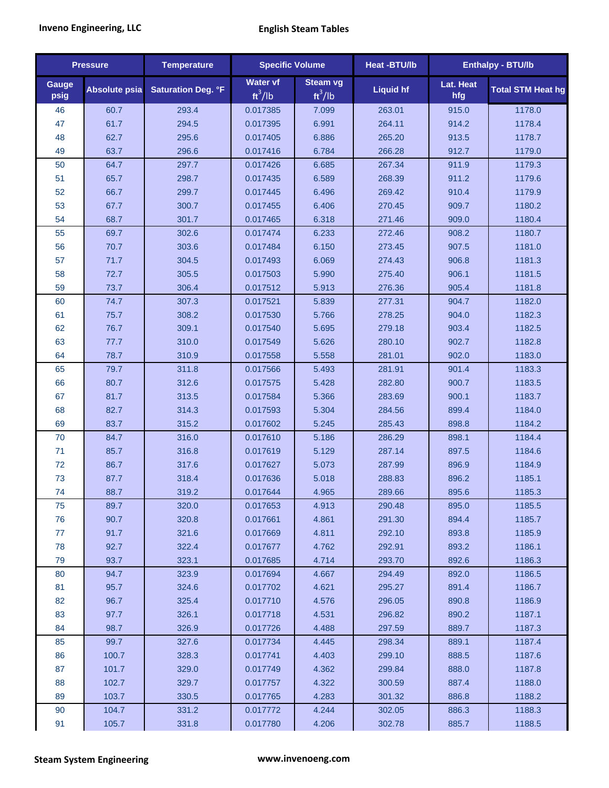| <b>Pressure</b> |                      | <b>Temperature</b>        | <b>Specific Volume</b>       |                       | <b>Heat-BTU/lb</b> |                  | <b>Enthalpy - BTU/lb</b> |
|-----------------|----------------------|---------------------------|------------------------------|-----------------------|--------------------|------------------|--------------------------|
| Gauge<br>psig   | <b>Absolute psia</b> | <b>Saturation Deg. °F</b> | <b>Water vf</b><br>$ft^3/lb$ | Steam vg<br>$ft^3/lb$ | <b>Liquid hf</b>   | Lat. Heat<br>hfg | <b>Total STM Heat hg</b> |
| 46              | 60.7                 | 293.4                     | 0.017385                     | 7.099                 | 263.01             | 915.0            | 1178.0                   |
| 47              | 61.7                 | 294.5                     | 0.017395                     | 6.991                 | 264.11             | 914.2            | 1178.4                   |
| 48              | 62.7                 | 295.6                     | 0.017405                     | 6.886                 | 265.20             | 913.5            | 1178.7                   |
| 49              | 63.7                 | 296.6                     | 0.017416                     | 6.784                 | 266.28             | 912.7            | 1179.0                   |
| 50              | 64.7                 | 297.7                     | 0.017426                     | 6.685                 | 267.34             | 911.9            | 1179.3                   |
| 51              | 65.7                 | 298.7                     | 0.017435                     | 6.589                 | 268.39             | 911.2            | 1179.6                   |
| 52              | 66.7                 | 299.7                     | 0.017445                     | 6.496                 | 269.42             | 910.4            | 1179.9                   |
| 53              | 67.7                 | 300.7                     | 0.017455                     | 6.406                 | 270.45             | 909.7            | 1180.2                   |
| 54              | 68.7                 | 301.7                     | 0.017465                     | 6.318                 | 271.46             | 909.0            | 1180.4                   |
| 55              | 69.7                 | 302.6                     | 0.017474                     | 6.233                 | 272.46             | 908.2            | 1180.7                   |
| 56              | 70.7                 | 303.6                     | 0.017484                     | 6.150                 | 273.45             | 907.5            | 1181.0                   |
| 57              | 71.7                 | 304.5                     | 0.017493                     | 6.069                 | 274.43             | 906.8            | 1181.3                   |
| 58              | 72.7                 | 305.5                     | 0.017503                     | 5.990                 | 275.40             | 906.1            | 1181.5                   |
| 59              | 73.7                 | 306.4                     | 0.017512                     | 5.913                 | 276.36             | 905.4            | 1181.8                   |
| 60              | 74.7                 | 307.3                     | 0.017521                     | 5.839                 | 277.31             | 904.7            | 1182.0                   |
| 61              | 75.7                 | 308.2                     | 0.017530                     | 5.766                 | 278.25             | 904.0            | 1182.3                   |
| 62              | 76.7                 | 309.1                     | 0.017540                     | 5.695                 | 279.18             | 903.4            | 1182.5                   |
| 63              | 77.7                 | 310.0                     | 0.017549                     | 5.626                 | 280.10             | 902.7            | 1182.8                   |
| 64              | 78.7                 | 310.9                     | 0.017558                     | 5.558                 | 281.01             | 902.0            | 1183.0                   |
| 65              | 79.7                 | 311.8                     | 0.017566                     | 5.493                 | 281.91             | 901.4            | 1183.3                   |
| 66              | 80.7                 | 312.6                     | 0.017575                     | 5.428                 | 282.80             | 900.7            | 1183.5                   |
| 67              | 81.7                 | 313.5                     | 0.017584                     | 5.366                 | 283.69             | 900.1            | 1183.7                   |
| 68              | 82.7                 | 314.3                     | 0.017593                     | 5.304                 | 284.56             | 899.4            | 1184.0                   |
| 69              | 83.7                 | 315.2                     | 0.017602                     | 5.245                 | 285.43             | 898.8            | 1184.2                   |
| 70              | 84.7                 | 316.0                     | 0.017610                     | 5.186                 | 286.29             | 898.1            | 1184.4                   |
| 71              | 85.7                 | 316.8                     | 0.017619                     | 5.129                 | 287.14             | 897.5            | 1184.6                   |
| 72              | 86.7                 | 317.6                     | 0.017627                     | 5.073                 | 287.99             | 896.9            | 1184.9                   |
| 73              | 87.7                 | 318.4                     | 0.017636                     | 5.018                 | 288.83             | 896.2            | 1185.1                   |
| 74              | 88.7                 | 319.2                     | 0.017644                     | 4.965                 | 289.66             | 895.6            | 1185.3                   |
| 75              | 89.7                 | 320.0                     | 0.017653                     | 4.913                 | 290.48             | 895.0            | 1185.5                   |
| 76              | 90.7                 | 320.8                     | 0.017661                     | 4.861                 | 291.30             | 894.4            | 1185.7                   |
| 77              | 91.7                 | 321.6                     | 0.017669                     | 4.811                 | 292.10             | 893.8            | 1185.9                   |
| 78              | 92.7                 | 322.4                     | 0.017677                     | 4.762                 | 292.91             | 893.2            | 1186.1                   |
| 79              | 93.7                 | 323.1                     | 0.017685                     | 4.714                 | 293.70             | 892.6            | 1186.3                   |
| 80              | 94.7                 | 323.9                     | 0.017694                     | 4.667                 | 294.49             | 892.0            | 1186.5                   |
| 81              | 95.7                 | 324.6                     | 0.017702                     | 4.621                 | 295.27             | 891.4            | 1186.7                   |
| 82              | 96.7                 | 325.4                     | 0.017710                     | 4.576                 | 296.05             | 890.8            | 1186.9                   |
| 83              | 97.7                 | 326.1                     | 0.017718                     | 4.531                 | 296.82             | 890.2            | 1187.1                   |
| 84              | 98.7                 | 326.9                     | 0.017726                     | 4.488                 | 297.59             | 889.7            | 1187.3                   |
| 85              | 99.7                 | 327.6                     | 0.017734                     | 4.445                 | 298.34             | 889.1            | 1187.4                   |
| 86              | 100.7                | 328.3                     | 0.017741                     | 4.403                 | 299.10             | 888.5            | 1187.6                   |
| 87              | 101.7                | 329.0                     | 0.017749                     | 4.362                 | 299.84             | 888.0            | 1187.8                   |
| 88              | 102.7                | 329.7                     | 0.017757                     | 4.322                 | 300.59             | 887.4            | 1188.0                   |
| 89              | 103.7                | 330.5                     | 0.017765                     | 4.283                 | 301.32             | 886.8            | 1188.2                   |
| 90              | 104.7                | 331.2                     | 0.017772                     | 4.244                 | 302.05             | 886.3            | 1188.3                   |
| 91              | 105.7                | 331.8                     | 0.017780                     | 4.206                 | 302.78             | 885.7            | 1188.5                   |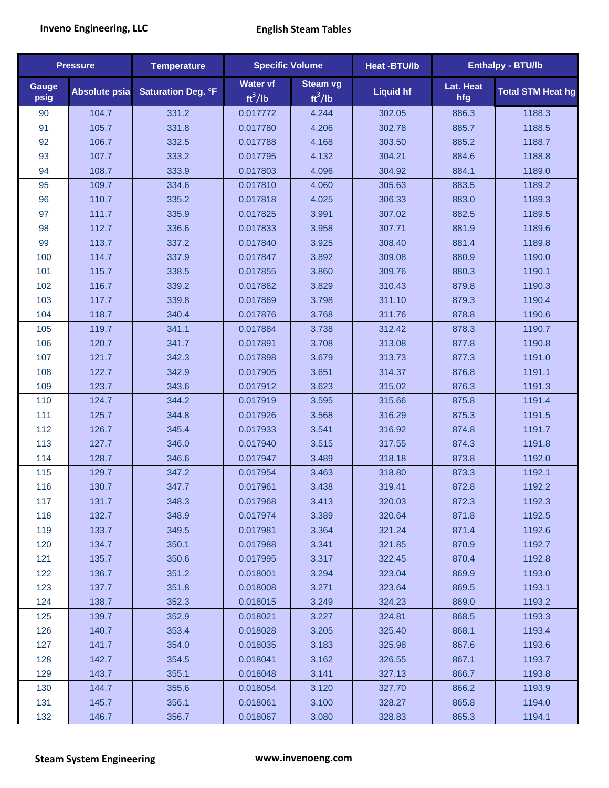| <b>Pressure</b> |                      | <b>Temperature</b>        | <b>Specific Volume</b> |                              | Heat -BTU/lb     |                  | <b>Enthalpy - BTU/lb</b> |
|-----------------|----------------------|---------------------------|------------------------|------------------------------|------------------|------------------|--------------------------|
| Gauge<br>psig   | <b>Absolute psia</b> | <b>Saturation Deg. °F</b> | Water vf<br>$ft^3/lb$  | <b>Steam vg</b><br>$ft^3/lb$ | <b>Liquid hf</b> | Lat. Heat<br>hfg | <b>Total STM Heat hg</b> |
| 90              | 104.7                | 331.2                     | 0.017772               | 4.244                        | 302.05           | 886.3            | 1188.3                   |
| 91              | 105.7                | 331.8                     | 0.017780               | 4.206                        | 302.78           | 885.7            | 1188.5                   |
| 92              | 106.7                | 332.5                     | 0.017788               | 4.168                        | 303.50           | 885.2            | 1188.7                   |
| 93              | 107.7                | 333.2                     | 0.017795               | 4.132                        | 304.21           | 884.6            | 1188.8                   |
| 94              | 108.7                | 333.9                     | 0.017803               | 4.096                        | 304.92           | 884.1            | 1189.0                   |
| 95              | 109.7                | 334.6                     | 0.017810               | 4.060                        | 305.63           | 883.5            | 1189.2                   |
| 96              | 110.7                | 335.2                     | 0.017818               | 4.025                        | 306.33           | 883.0            | 1189.3                   |
| 97              | 111.7                | 335.9                     | 0.017825               | 3.991                        | 307.02           | 882.5            | 1189.5                   |
| 98              | 112.7                | 336.6                     | 0.017833               | 3.958                        | 307.71           | 881.9            | 1189.6                   |
| 99              | 113.7                | 337.2                     | 0.017840               | 3.925                        | 308.40           | 881.4            | 1189.8                   |
| 100             | 114.7                | 337.9                     | 0.017847               | 3.892                        | 309.08           | 880.9            | 1190.0                   |
| 101             | 115.7                | 338.5                     | 0.017855               | 3.860                        | 309.76           | 880.3            | 1190.1                   |
| 102             | 116.7                | 339.2                     | 0.017862               | 3.829                        | 310.43           | 879.8            | 1190.3                   |
| 103             | 117.7                | 339.8                     | 0.017869               | 3.798                        | 311.10           | 879.3            | 1190.4                   |
| 104             | 118.7                | 340.4                     | 0.017876               | 3.768                        | 311.76           | 878.8            | 1190.6                   |
| 105             | 119.7                | 341.1                     | 0.017884               | 3.738                        | 312.42           | 878.3            | 1190.7                   |
| 106             | 120.7                | 341.7                     | 0.017891               | 3.708                        | 313.08           | 877.8            | 1190.8                   |
| 107             | 121.7                | 342.3                     | 0.017898               | 3.679                        | 313.73           | 877.3            | 1191.0                   |
| 108             | 122.7                | 342.9                     | 0.017905               | 3.651                        | 314.37           | 876.8            | 1191.1                   |
| 109             | 123.7                | 343.6                     | 0.017912               | 3.623                        | 315.02           | 876.3            | 1191.3                   |
| 110             | 124.7                | 344.2                     | 0.017919               | 3.595                        | 315.66           | 875.8            | 1191.4                   |
| 111             | 125.7                | 344.8                     | 0.017926               | 3.568                        | 316.29           | 875.3            | 1191.5                   |
| 112             | 126.7                | 345.4                     | 0.017933               | 3.541                        | 316.92           | 874.8            | 1191.7                   |
| 113             | 127.7                | 346.0                     | 0.017940               | 3.515                        | 317.55           | 874.3            | 1191.8                   |
| 114             | 128.7                | 346.6                     | 0.017947               | 3.489                        | 318.18           | 873.8            | 1192.0                   |
| 115             | 129.7                | 347.2                     | 0.017954               | 3.463                        | 318.80           | 873.3            | 1192.1                   |
| 116             | 130.7                | 347.7                     | 0.017961               | 3.438                        | 319.41           | 872.8            | 1192.2                   |
| 117             | 131.7                | 348.3                     | 0.017968               | 3.413                        | 320.03           | 872.3            | 1192.3                   |
| 118             | 132.7                | 348.9                     | 0.017974               | 3.389                        | 320.64           | 871.8            | 1192.5                   |
| 119             | 133.7                | 349.5                     | 0.017981               | 3.364                        | 321.24           | 871.4            | 1192.6                   |
| 120             | 134.7                | 350.1                     | 0.017988               | 3.341                        | 321.85           | 870.9            | 1192.7                   |
| 121             | 135.7                | 350.6                     | 0.017995               | 3.317                        | 322.45           | 870.4            | 1192.8                   |
| 122             | 136.7                | 351.2                     | 0.018001               | 3.294                        | 323.04           | 869.9            | 1193.0                   |
| 123             | 137.7                | 351.8                     | 0.018008               | 3.271                        | 323.64           | 869.5            | 1193.1                   |
| 124             | 138.7                | 352.3                     | 0.018015               | 3.249                        | 324.23           | 869.0            | 1193.2                   |
| 125             | 139.7                | 352.9                     | 0.018021               | 3.227                        | 324.81           | 868.5            | 1193.3                   |
| 126             | 140.7                | 353.4                     | 0.018028               | 3.205                        | 325.40           | 868.1            | 1193.4                   |
| 127             | 141.7                | 354.0                     | 0.018035               | 3.183                        | 325.98           | 867.6            | 1193.6                   |
| 128             | 142.7                | 354.5                     | 0.018041               | 3.162                        | 326.55           | 867.1            | 1193.7                   |
| 129             | 143.7                | 355.1                     | 0.018048               | 3.141                        | 327.13           | 866.7            | 1193.8                   |
| 130             | 144.7                | 355.6                     | 0.018054               | 3.120                        | 327.70           | 866.2            | 1193.9                   |
| 131             | 145.7                | 356.1                     | 0.018061               | 3.100                        | 328.27           | 865.8            | 1194.0                   |
| 132             | 146.7                | 356.7                     | 0.018067               | 3.080                        | 328.83           | 865.3            | 1194.1                   |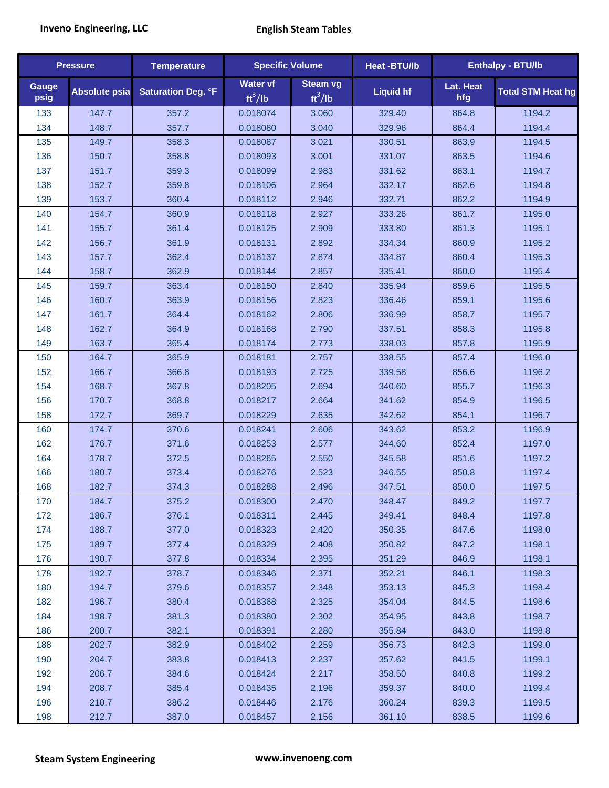| <b>Pressure</b> |                      | <b>Temperature</b>        | <b>Specific Volume</b>       |                              | Heat -BTU/lb     |                  | Enthalpy - BTU/lb        |
|-----------------|----------------------|---------------------------|------------------------------|------------------------------|------------------|------------------|--------------------------|
| Gauge<br>psig   | <b>Absolute psia</b> | <b>Saturation Deg. °F</b> | <b>Water vf</b><br>$ft^3/lb$ | <b>Steam vg</b><br>$ft^3/lb$ | <b>Liquid hf</b> | Lat. Heat<br>hfg | <b>Total STM Heat hg</b> |
| 133             | 147.7                | 357.2                     | 0.018074                     | 3.060                        | 329.40           | 864.8            | 1194.2                   |
| 134             | 148.7                | 357.7                     | 0.018080                     | 3.040                        | 329.96           | 864.4            | 1194.4                   |
| 135             | 149.7                | 358.3                     | 0.018087                     | 3.021                        | 330.51           | 863.9            | 1194.5                   |
| 136             | 150.7                | 358.8                     | 0.018093                     | 3.001                        | 331.07           | 863.5            | 1194.6                   |
| 137             | 151.7                | 359.3                     | 0.018099                     | 2.983                        | 331.62           | 863.1            | 1194.7                   |
| 138             | 152.7                | 359.8                     | 0.018106                     | 2.964                        | 332.17           | 862.6            | 1194.8                   |
| 139             | 153.7                | 360.4                     | 0.018112                     | 2.946                        | 332.71           | 862.2            | 1194.9                   |
| 140             | 154.7                | 360.9                     | 0.018118                     | 2.927                        | 333.26           | 861.7            | 1195.0                   |
| 141             | 155.7                | 361.4                     | 0.018125                     | 2.909                        | 333.80           | 861.3            | 1195.1                   |
| 142             | 156.7                | 361.9                     | 0.018131                     | 2.892                        | 334.34           | 860.9            | 1195.2                   |
| 143             | 157.7                | 362.4                     | 0.018137                     | 2.874                        | 334.87           | 860.4            | 1195.3                   |
| 144             | 158.7                | 362.9                     | 0.018144                     | 2.857                        | 335.41           | 860.0            | 1195.4                   |
| 145             | 159.7                | 363.4                     | 0.018150                     | 2.840                        | 335.94           | 859.6            | 1195.5                   |
| 146             | 160.7                | 363.9                     | 0.018156                     | 2.823                        | 336.46           | 859.1            | 1195.6                   |
| 147             | 161.7                | 364.4                     | 0.018162                     | 2.806                        | 336.99           | 858.7            | 1195.7                   |
| 148             | 162.7                | 364.9                     | 0.018168                     | 2.790                        | 337.51           | 858.3            | 1195.8                   |
| 149             | 163.7                | 365.4                     | 0.018174                     | 2.773                        | 338.03           | 857.8            | 1195.9                   |
| 150             | 164.7                | 365.9                     | 0.018181                     | 2.757                        | 338.55           | 857.4            | 1196.0                   |
| 152             | 166.7                | 366.8                     | 0.018193                     | 2.725                        | 339.58           | 856.6            | 1196.2                   |
| 154             | 168.7                | 367.8                     | 0.018205                     | 2.694                        | 340.60           | 855.7            | 1196.3                   |
| 156             | 170.7                | 368.8                     | 0.018217                     | 2.664                        | 341.62           | 854.9            | 1196.5                   |
| 158             | 172.7                | 369.7                     | 0.018229                     | 2.635                        | 342.62           | 854.1            | 1196.7                   |
| 160             | 174.7                | 370.6                     | 0.018241                     | 2.606                        | 343.62           | 853.2            | 1196.9                   |
| 162             | 176.7                | 371.6                     | 0.018253                     | 2.577                        | 344.60           | 852.4            | 1197.0                   |
| 164             | 178.7                | 372.5                     | 0.018265                     | 2.550                        | 345.58           | 851.6            | 1197.2                   |
| 166             | 180.7                | 373.4                     | 0.018276                     | 2.523                        | 346.55           | 850.8            | 1197.4                   |
| 168             | 182.7                | 374.3                     | 0.018288                     | 2.496                        | 347.51           | 850.0            | 1197.5                   |
| 170             | 184.7                | 375.2                     | 0.018300                     | 2.470                        | 348.47           | 849.2            | 1197.7                   |
| 172             | 186.7                | 376.1                     | 0.018311                     | 2.445                        | 349.41           | 848.4            | 1197.8                   |
| 174             | 188.7                | 377.0                     | 0.018323                     | 2.420                        | 350.35           | 847.6            | 1198.0                   |
| 175             | 189.7                | 377.4                     | 0.018329                     | 2.408                        | 350.82           | 847.2            | 1198.1                   |
| 176             | 190.7                | 377.8                     | 0.018334                     | 2.395                        | 351.29           | 846.9            | 1198.1                   |
| 178             | 192.7                | 378.7                     | 0.018346                     | 2.371                        | 352.21           | 846.1            | 1198.3                   |
| 180             | 194.7                | 379.6                     | 0.018357                     | 2.348                        | 353.13           | 845.3            | 1198.4                   |
| 182             | 196.7                | 380.4                     | 0.018368                     | 2.325                        | 354.04           | 844.5            | 1198.6                   |
| 184             | 198.7                | 381.3                     | 0.018380                     | 2.302                        | 354.95           | 843.8            | 1198.7                   |
| 186             | 200.7                | 382.1                     | 0.018391                     | 2.280                        | 355.84           | 843.0            | 1198.8                   |
| 188             | 202.7                | 382.9                     | 0.018402                     | 2.259                        | 356.73           | 842.3            | 1199.0                   |
| 190             | 204.7                | 383.8                     | 0.018413                     | 2.237                        | 357.62           | 841.5            | 1199.1                   |
| 192             | 206.7                | 384.6                     | 0.018424                     | 2.217                        | 358.50           | 840.8            | 1199.2                   |
| 194             | 208.7                | 385.4                     | 0.018435                     | 2.196                        | 359.37           | 840.0            | 1199.4                   |
| 196             | 210.7                | 386.2                     | 0.018446                     | 2.176                        | 360.24           | 839.3            | 1199.5                   |
| 198             | 212.7                | 387.0                     | 0.018457                     | 2.156                        | 361.10           | 838.5            | 1199.6                   |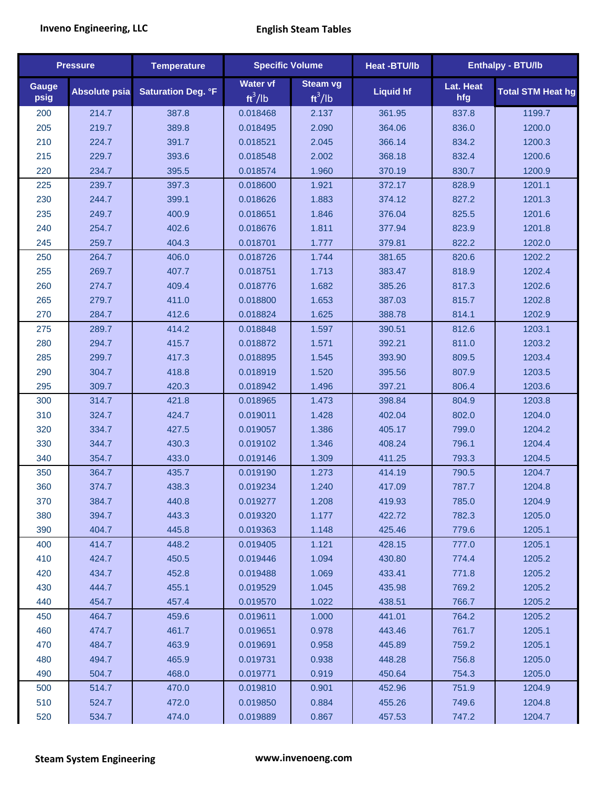|               | <b>Pressure</b>      | <b>Temperature</b>        | <b>Specific Volume</b> |                              | Heat -BTU/lb     |                  | Enthalpy - BTU/lb        |
|---------------|----------------------|---------------------------|------------------------|------------------------------|------------------|------------------|--------------------------|
| Gauge<br>psig | <b>Absolute psia</b> | <b>Saturation Deg. °F</b> | Water vf<br>$ft^3/lb$  | <b>Steam vg</b><br>$ft^3/lb$ | <b>Liquid hf</b> | Lat. Heat<br>hfg | <b>Total STM Heat hg</b> |
| 200           | 214.7                | 387.8                     | 0.018468               | 2.137                        | 361.95           | 837.8            | 1199.7                   |
| 205           | 219.7                | 389.8                     | 0.018495               | 2.090                        | 364.06           | 836.0            | 1200.0                   |
| 210           | 224.7                | 391.7                     | 0.018521               | 2.045                        | 366.14           | 834.2            | 1200.3                   |
| 215           | 229.7                | 393.6                     | 0.018548               | 2.002                        | 368.18           | 832.4            | 1200.6                   |
| 220           | 234.7                | 395.5                     | 0.018574               | 1.960                        | 370.19           | 830.7            | 1200.9                   |
| 225           | 239.7                | 397.3                     | 0.018600               | 1.921                        | 372.17           | 828.9            | 1201.1                   |
| 230           | 244.7                | 399.1                     | 0.018626               | 1.883                        | 374.12           | 827.2            | 1201.3                   |
| 235           | 249.7                | 400.9                     | 0.018651               | 1.846                        | 376.04           | 825.5            | 1201.6                   |
| 240           | 254.7                | 402.6                     | 0.018676               | 1.811                        | 377.94           | 823.9            | 1201.8                   |
| 245           | 259.7                | 404.3                     | 0.018701               | 1.777                        | 379.81           | 822.2            | 1202.0                   |
| 250           | 264.7                | 406.0                     | 0.018726               | 1.744                        | 381.65           | 820.6            | 1202.2                   |
| 255           | 269.7                | 407.7                     | 0.018751               | 1.713                        | 383.47           | 818.9            | 1202.4                   |
| 260           | 274.7                | 409.4                     | 0.018776               | 1.682                        | 385.26           | 817.3            | 1202.6                   |
| 265           | 279.7                | 411.0                     | 0.018800               | 1.653                        | 387.03           | 815.7            | 1202.8                   |
| 270           | 284.7                | 412.6                     | 0.018824               | 1.625                        | 388.78           | 814.1            | 1202.9                   |
| 275           | 289.7                | 414.2                     | 0.018848               | 1.597                        | 390.51           | 812.6            | 1203.1                   |
| 280           | 294.7                | 415.7                     | 0.018872               | 1.571                        | 392.21           | 811.0            | 1203.2                   |
| 285           | 299.7                | 417.3                     | 0.018895               | 1.545                        | 393.90           | 809.5            | 1203.4                   |
| 290           | 304.7                | 418.8                     | 0.018919               | 1.520                        | 395.56           | 807.9            | 1203.5                   |
| 295           | 309.7                | 420.3                     | 0.018942               | 1.496                        | 397.21           | 806.4            | 1203.6                   |
| 300           | 314.7                | 421.8                     | 0.018965               | 1.473                        | 398.84           | 804.9            | 1203.8                   |
| 310           | 324.7                | 424.7                     | 0.019011               | 1.428                        | 402.04           | 802.0            | 1204.0                   |
| 320           | 334.7                | 427.5                     | 0.019057               | 1.386                        | 405.17           | 799.0            | 1204.2                   |
| 330           | 344.7                | 430.3                     | 0.019102               | 1.346                        | 408.24           | 796.1            | 1204.4                   |
| 340           | 354.7                | 433.0                     | 0.019146               | 1.309                        | 411.25           | 793.3            | 1204.5                   |
| 350           | 364.7                | 435.7                     | 0.019190               | 1.273                        | 414.19           | 790.5            | 1204.7                   |
| 360           | 374.7                | 438.3                     | 0.019234               | 1.240                        | 417.09           | 787.7            | 1204.8                   |
| 370           | 384.7                | 440.8                     | 0.019277               | 1.208                        | 419.93           | 785.0            | 1204.9                   |
| 380           | 394.7                | 443.3                     | 0.019320               | 1.177                        | 422.72           | 782.3            | 1205.0                   |
| 390           | 404.7                | 445.8                     | 0.019363               | 1.148                        | 425.46           | 779.6            | 1205.1                   |
| 400           | 414.7                | 448.2                     | 0.019405               | 1.121                        | 428.15           | 777.0            | 1205.1                   |
| 410           | 424.7                | 450.5                     | 0.019446               | 1.094                        | 430.80           | 774.4            | 1205.2                   |
| 420           | 434.7                | 452.8                     | 0.019488               | 1.069                        | 433.41           | 771.8            | 1205.2                   |
| 430           | 444.7                | 455.1                     | 0.019529               | 1.045                        | 435.98           | 769.2            | 1205.2                   |
| 440           | 454.7                | 457.4                     | 0.019570               | 1.022                        | 438.51           | 766.7            | 1205.2                   |
| 450           | 464.7                | 459.6                     | 0.019611               | 1.000                        | 441.01           | 764.2            | 1205.2                   |
| 460           | 474.7                | 461.7                     | 0.019651               | 0.978                        | 443.46           | 761.7            | 1205.1                   |
| 470           | 484.7                | 463.9                     | 0.019691               | 0.958                        | 445.89           | 759.2            | 1205.1                   |
| 480           | 494.7                | 465.9                     | 0.019731               | 0.938                        | 448.28           | 756.8            | 1205.0                   |
| 490           | 504.7                | 468.0                     | 0.019771               | 0.919                        | 450.64           | 754.3            | 1205.0                   |
| 500           | 514.7                | 470.0                     | 0.019810               | 0.901                        | 452.96           | 751.9            | 1204.9                   |
| 510           | 524.7                | 472.0                     | 0.019850               | 0.884                        | 455.26           | 749.6            | 1204.8                   |
| 520           | 534.7                | 474.0                     | 0.019889               | 0.867                        | 457.53           | 747.2            | 1204.7                   |